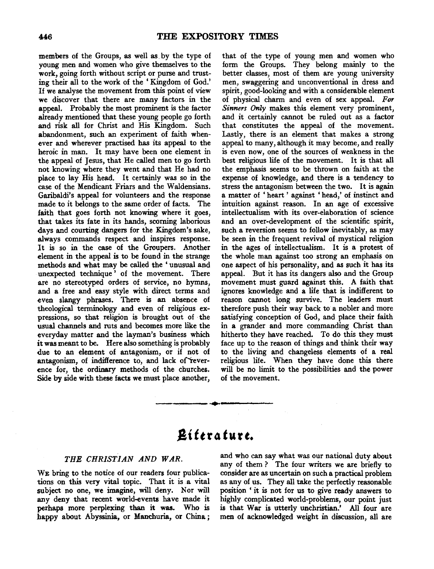members of the Groups, as well as. by the type of young men and women who give themselves to the work, going forth without script or purse and trusting their all to the work of the ' Kingdom of God.' If we analyse the movement from this point of view we discover that there are many factors in the appeal. Probably the most prominent is the factor already mentioned that these young people go forth and risk all for Christ and His Kingdom. Such abandonment, such an experiment of faith whenever and wherever practised has its appeal to the heroic in man. It may have been one element in the appeal of Jesus, that He called men to go forth not knowing where they went and that He had no place to lay His head. It certainly was so in the case of the Mendicant Friars and the Waldensians. Garibaldi's appeal for volunteers and the response made to it belongs to the same order of facts. The faith that goes forth not knowing where it goes, that takes its fate in its hands, scorning laborious days and courting dangers for the Kingdom's sake, always commands respect and inspires response. It is so in the case of the Groupers. Another element in the appeal is to be found in the strange methods and what may be called the ' unusual and unexpected technique ' of the movement. There are no stereotyped orders of service, no hymns, and a free and easy style with direct terms and even slangy phrases. There is an absence of theological terminology and even of religious expressions, so that religion is brought out of the usual channels and ruts and becomes more like the everyday matter and the layman's business which it was meant to be. Here also something is probably due to an element of antagonism, or if not of antagonism, of indifference to, and lack of reverence for, the ordinary methods of the churches. Side by side with these facts we must place another,

that of the type of young men and women who form the Groups. They belong mainly to the better classes, most of them are young university men, swaggering and unconventional in dress and spirit, good-looking and with a considerable element of physical charm and even of sex appeal. *For Sinners Only* makes this element very prominent, and it certainly cannot be ruled out as a factor that constitutes the appeal of the movement. Lastly, there is an element that makes a strong appeal to many, although it may become, and really is even now, one of the sources of weakness in the best religious life of the movement. It is that all the emphasis seems to be thrown on faith at the expense of knowledge, and there is a tendency to stress the antagonism between the two. It is again a matter of 'heart' against 'head,' of instinct and intuition against reason. In an age of excessive intellectualism with its over-elaboration of science and an over-development of the scientific spirit, such a reversion seems to follow inevitably, as may be seen in the frequent revival of mystical religion in the ages of intellectualism. It is a protest of the whole man against too strong an emphasis on one aspect of his personality, and as such it has its appeal. But it has its dangers also and the Group movement must guard against this. A faith that ignores knowledge and a life that is indifferent to reason cannot long survive. The leaders must therefore push their way back to a nobler and more satisfying conception of God, and place their faith in a grander and more commanding Christ than hitherto they have reached. To do this they must face up to the reason of things and think their way to the living and changeless elements of a real religious life. When they have done this there will be no limit to the possibilities and the power of the movement.

# Literature.

~-----·~.----------

# *THE CHRISTIAN AND WAR.*

WE bring to the notice of our readers four publications on this very vital topic. That it is a vital subject no one, we imagine, will deny. Nor will any deny that recent world-events have made it perhaps more perplexing than it was. Who is happy about Abyssinia, or Manchuria, or China ; and who can say what was our national duty about any of them ? The four writers we are briefly to consider are as uncertain on such a practical problem as any of us. They all take the perfectly reasonable position ' it is not for us to give ready answers to highly complicated world-problems, our point just is that War is utterly unchristian.' All four are men of acknowledged weight in discussion, all are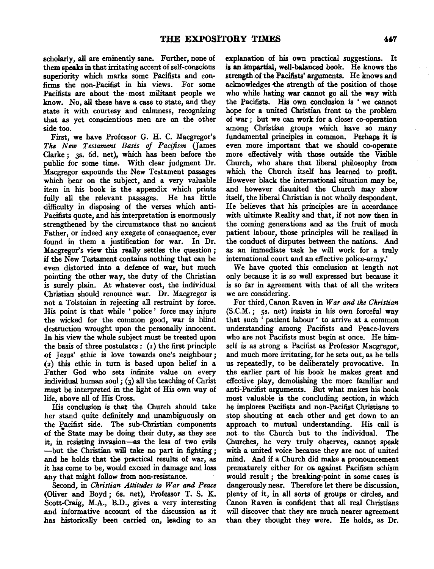scholarly, all are eminently sane. Further, none of them speaks in that irritating accent of self-conscious superiority which marks some Pacifists and confirms the non-Pacifist in his views. For some Pacifists are about the most militant people we know. *No,* all these have a case to state, and they state it with courtesy and calmness, recognizing that as yet conscientious men are on the other side too.

First, we have Professor G. H. C. Macgregor's *The New Testament Basis of Pacifism* (James Clarke; 3s. 6d. net), which has been before the public for some time. With clear judgment Dr. Macgregor expounds the New Testament passages which bear on the subject, and a very valuable item in his book is the appendix which prints fully all the relevant passages. He has little difficulty in disposing of the verses which anti-Pacifists quote, and his interpretation is enormously strengthened by the circumstance that no ancient Father, or indeed any exegete of consequence, ever found in them a justification for war. In Dr. Macgregor's view this really settles the question ; if the New Testament contains nothing that can be even distorted into a defence of war, but much pointing the other way, the duty of the Christian is surely plain. At whatever *cost,* the individual Christian should renounce war. Dr. Macgregor is not a Tolstoian in rejecting all restraint by force. His point is that while ' police ' force may injure the wicked for the common good, war is blind destruction wrought upon the personally innocent. In his view the whole subject must be treated upon the basis of three postulates:  $(i)$  the first principle of Jesus' ethic is love towards one's neighbour; (2) this ethic in turn is based upon belief in a Father God who sets infinite value on every individual human soul;  $(3)$  all the teaching of Christ must be interpreted in the light of His own way of life, above all of His Cross.

His conclusion is that the Church should take her stand quite definitely and unambiguously on the Pacifist side. The sub-Christian components of the State may be doing their *duty*, as they see it, in resisting invasion—as the less of two evils -but the Christian will take no part in fighting ; and he holds that the practical results of war, as it has come to *be,* would exceed in damage and loss any that might follow from non-resistance.

Second, in *Christian Attitudes to War and Peace*  (Oliver and Boyd; 6s. net), Professor T. S. K. Scott-Craig, M.A., B.D., gives a very interesting and informative account of the discussion as it has historically been carried on, leading to an

explanation of his own practical suggestions. It is **an** impartial, well-balanced book. He knows the strength of the Pacifists' arguments. He knows and acknowledges the strength of the position of those who while hating war cannot go all the way with the Pacifists. His own conclusion is ' we cannot hope for a united Christian front to the problem of war *;* but we can work for a closer co-operation among Christian groups which have so many fundamental principles in common. Perhaps it is even more important that we should co-operate more effectively with those outside the Visible Church, who share that liberal philosophy from which the Church itself has learned to profit. However black the international situation may be, and however disunited the Church may show itself, the liberal Christian is not wholly despondent. He believes that his principles are in accordance with ultimate Reality and that, if not now then in the coming generations and as the fruit of much patient labour, those principles will be realized in the conduct of disputes between the nations. And as an immediate task he will work for a truly international court and an effective police-army.'

We have quoted this conclusion at length not only because it is so well expressed but because it is so far in agreement with that of all the writers we are considering.

For third, Canon Raven in *War and the Christian*   $(S.C.M.;$  5s. net) insists in his own forceful way that such ' patient labour ' to arrive at a common understanding among Pacifists and Peace-lovers who are not Pacifists must begin at once. He himself is as strong a Pacifist as Professor Macgregor, and much more irritating, for he sets *out,* as he tells us repeatedly, to be deliberately provocative. In the earlier part of his book he makes great and effective play, demolishing the more familiar and anti-Pacifist arguments. But what makes his book most valuable is the concluding section, in which he implores Pacifists and non-Pacifist Christians to stop shouting at each other and get down to an approach to mutual understanding. His call is not to the Church but to the individual. The Churches, he very truly observes, cannot speak with a united voice because they are not of united mind. And if a Church did make a pronouncement prematurely either for  $o$  against Pacifism schism would result ; the breaking-point in some cases is dangerously near. Therefore let there be discussion, plenty of it, in all sorts of groups or circles, and Canon Raven is confident that all real Christians will discover that they are much nearer agreement than they thought they were. He holds, as Dr.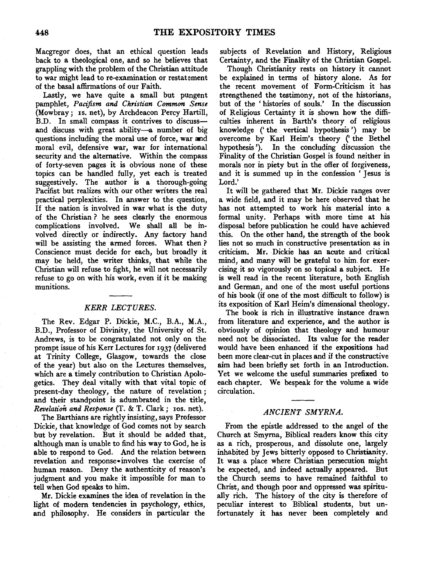Macgregor does, that an ethical question leads back to a theological one, and so he believes that grappling with the problem of the Christian attitude to war might lead to re-examination or restatement of the basal affirmations of our Faith.

Lastly, we have quite a small but pungent pamphlet, *Pacifism and Christian Common Sense*  (Mowbray; IS. net}, by Archdeacon Percy Hartill, B.D. In small compass it contrives to discussand discuss with great ability-a number of big questions including the moral use of force, war and moral evil, defensive war, war for international security and the alternative. Within the compass of forty-seven pages it is obvious none of these topics can be handled fully, yet each is treated suggestively. The author is a thorough-going Pacifist but realizes with our other writers the real practical perplexities. In answer to the question, If the nation is involved in war what is the duty of the Christian ? he sees clearly the enormous complications involved. We shall all be involved directly or indirectly. Any factory hand will be assisting the armed forces. What then? Conscience must decide for each, but broadly it may be held, the writer thinks, that while the Christian will refuse to fight, he will not necessarily refuse to go on with his work, even if it be making munitions.

#### *KERR LECTURES.*

The Rev. Edgar P. Dickie, M.C., B.A., M.A., B.D., Professor of Divinity, the University of St. Andrews, is to be congratulated not only on the prompt issue of his Kerr Lectures for 1937 (delivered at Trinity College, Glasgow, towards the close of the year) but also on the Lectures themselves, which are a timely contribution to Christian Apologetics. They deal vitally with that vital topic of present-day theology, the nature of revelation; and their standpoint is adumbrated in the title, *Revelation and Response* (T. & T. Clark; Ios. net).

The Barthians are rightly insisting, says Professor Dickie, that knowledge of God comes not by search but by revelation. But it should be added that, although man is unable to find his way to God, he is able to respond to God. And the relation between revelation and response•involves the exercise of human reason. Deny the authenticity of reason's judgment and you make it impossible for man to tell when God speaks to him.

Mr. Dickie examines the idea of revelation in the light of modern tendencies in psychology, ethics, and philosophy, He considers in particular the subjects of Revelation and History, Religious Certainty, and the Finality of the Christian Gospel.

Though Christianity rests on history it cannot be explained in terms of history alone. As for the recent movement of Form-Criticism it has strengthened the testimony, not of the historians, but of the ' histories of souls.' In the discussion of Religious Certainty it is shown how the difficulties inherent in Barth's theory of religious knowledge (' the vertical hypothesis ') may be overcome by Karl Heim's theory ('the Bethel hypothesis '). In the concluding discussion the Finality of the Christian Gospel is found neither in morals nor in piety but in the offer of forgiveness, and it is summed up in the confession ' Jesus is Lord.'

It will be gathered that Mr. Dickie ranges over a wide field, and it may be here observed that he has not attempted to work his material into a formal unity. Perhaps with more time at his disposal before publication he could have achieved this. On the other hand, the strength of the book lies not so much in· constructive presentation as in criticism. Mr. Dickie has an acute and critical mind, and many will be grateful to him. for exercising it so vigorously on so topical a subject. He is well read in the recent literature, both English and German, and one of the most useful portions of his book (if one of the most difficult to follow) is its exposition of Karl Heim's dimensional theology.

The book is rich in illustrative instance drawn from literature and experience, and the author is obviously of opinion that theology and humour need not be dissociated. Its value for the reader would have been enhanced if the expositions had been more clear-cut in places and if the constructive aim had been briefly set forth in an Introduction. Yet we welcome the useful summaries prefixed to each chapter. We bespeak for the volume a wide circulation.

### *ANCIENT SMYRNA.*

From the epistle addressed to the angel of the Church at Smyrna, Biblical readers know this city as a rich, prosperous, and dissolute one, largely inhabited by Jews bitterly opposed to Christianity. It was a place where Christian persecution might be expected, and indeed actually appeared. But the Church seems to have remained faithful to Christ, and though poor and oppressed was spiritually rich. The history of the city is therefore of peculiar interest to Biblical students, but unfortunately it has never been completely and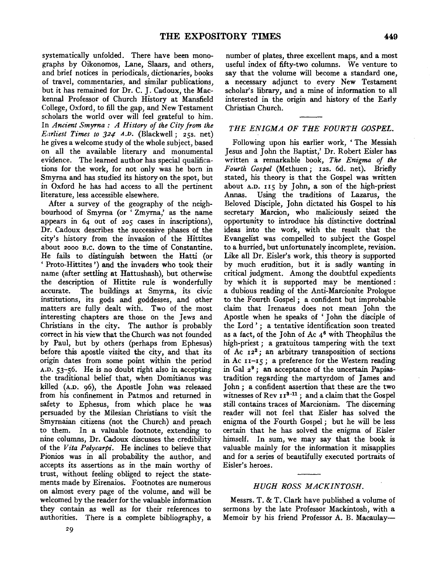systematically unfolded. There have been monographs by Oikonomos, Lane, Slaars, and others, and brief notices in periodicals, dictionaries, books of travel, commentaries, and similar publications, but it has remained for Dr. C. J. Cadoux, the Mackennal Professor of Church History at Mansfield College, Oxford, to fill the gap, and New Testament scholars the world over will feel grateful to him. In *Ancient Smyrna : A History of the City from the Earliest Times to 324* A.D. (Blackwell; 25s. net) he gives a welcome study of the whole subject, based on all the available literary and monumental evidence. The learned author has special qualifications for the work, for not only was he born in Smyrna and has studied its history on the spot, but in Oxford he has had access to all the pertinent literature, less accessible elsewhere.

After a survey of the geography of the neighbourhood of Smyrna (or 'Zmyma,' as the name appears in 64 out of 205 cases in inscriptions), Dr. Cadoux describes the successive phases of the city's history from the invasion of the Hittites about 2ooo B.c. down to the time of Constantine. He fails to distinguish between the Hatti (or 'Proto-Hittites ')and the invaders who took their name (after settling at Hattushash), but otherwise the description of Hittite rule is wonderfully accurate. The buildings at Smyma, its civic institutions, its gods and goddesses, and other matters are fully dealt with. Two of the most interesting chapters are those on the Jews and Christians in the city. The author is probably correct in his view that the Church was not founded by Paul, but by others (perhaps from Ephesus) before this apostle visited the city, and that its origin dates from some point within the period A.D. 53-56. He is no doubt right also in accepting the traditional belief that, when Domitianus was killed (A.D. 96), the Apostle John was released from his confinement in Patmos and returned in safety to Ephesus, from which place he was persuaded by the Milesian Christians to visit the Smyrnaian citizens (not the Church) and preach to them. In a valuable footnote, extending to nine columns, Dr. Cadoux discusses the credibility of the *Vita Polycarpi.* He inclines to believe that Pionios was in all probability the author, and accepts its assertions as in the main worthy of trust, without feeling obliged to reject the statements made by Eirenaios. Footnotes are numerous on almost every page of the volume, and will be welcomed by the reader for the valuable information they contain as well as for their references to authorities. There is a complete bibliography, a

number of plates, three excellent maps, and a most useful index of fifty-two columns. We venture to say that the volume will become a standard one, a necessary adjunct to every New Testament scholar's library, and a mine of information to all interested in the origin and history of the Early Christian Church.

## *THE ENIGMA OF THE FOURTH GOSPEL.*

Following upon his earlier work, ' The Messiah Jesus and John the Baptist,' Dr. Robert Eisler has written a remarkable book, *The Enigma of the Fourth Gospel* (Methuen; 12s. 6d. net). Briefly stated, his theory is that the Gospel was written about A.D. 115 by John, a son of the high-priest Annas. Using the traditions of Lazarus, the Beloved Disciple, John dictated his Gospel to his secretary Marcion, who maliciously seized the opportunity to introduce his distinctive doctrinal ideas into the work, with the result that the Evangelist was compelled to subject the Gospel to a hurried, but unfortunately incomplete, revision. Like all Dr. Eisler's work, this theory is supported by much erudition, but it is sadly wanting in critical judgment. Among the doubtful expedients by which it is supported may be mentioned : a dubious reading of the Anti-Marcionite Prologue to the Fourth Gospel; a confident but improbable claim that Irenaeus does not mean John the Apostle when he speaks of ' John the disciple of the Lord ' ; a tentative identification soon treated as a fact, of the John of Ac  $4^6$  with Theophilus the high-priest : a gratuitous tampering with the text of Ac  $12^2$ ; an arbitrary transposition of sections in Ac  $11 - 15$ ; a preference for the Western reading in Gal *2* 9 ; an acceptance of the uncertain Papiastradition regarding the martyrdom of James and John ; a confident assertion that these are the two  $\frac{1}{2}$  witnesses of Rev  $\frac{13 - 11}{2}$  ; and a claim that the Gospel still contains traces of Marcionism. The discerning reader will not feel that Eisler has solved the enigma of the Fourth Gospel; but he will be less certain that he has solved the enigma of Eisler himself. In sum, we may say that the book is valuable mainly for the information it misapplies and for a series of beautifully executed portraits of Eisler's heroes.

### *HUGH ROSS MACKINTOSH.*

Messrs. T. & T. Clark have published a volume of sermons by the late Professor Mackintosh, with a Memoir by his friend Professor A. B. Macaulay-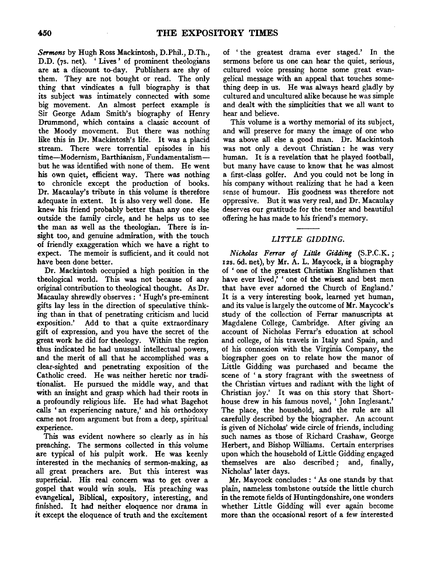*Sermons* by Hugh Ross Mackintosh, D.Phil., D.Th., D.D. (7s. net). 'Lives' of prominent theologians are at a discount to-day. Publishers are shy of them. They are not bought or read. The only thing that vindicates a full biography is that its subject was intimately connected with some big movement. An almost perfect example is Sir George Adam Smith's biography of Henry Drummond, which contains a classic account of the Moody movement. But there was nothing like this in Dr. Mackintosh's life. It was a placid stream. There were torrential episodes in his time-Modernism, Barthianism, Fundamentalismbut he was identified with none of them. He went his own quiet, efficient way. There was nothing to chronicle except the production of books. Dr. Macaulay's tribute in this volume is therefore adequate in extent. It is also very well done. He knew his friend probably better than any one else outside the family circle, and he helps us to see the man as well as the theologian. There is insight too, and genuine admiration, with the touch of friendly exaggeration which we have a right to expect. The memoir is sufficient, and it could not have been done better.

Dr. Mackintosh occupied a high position in the theological world. This was not because of any original contribution to theological thought. As Dr. Macaulay shrewdly observes: 'Hugh's pte-eminent gifts lay less in the direction of speculative thinking than in that of penetrating criticism and lucid exposition.' Add to that a quite extraordinary gift of expression, and you have the secret of the great work he did for theology. Within the region thus indicated he had unusual intellectual powers, and the merit of all that he accomplished was a clear-sighted and penetrating exposition of the Catholic creed. He was neither heretic nor traditionalist. He pursued the middle way, and that with an insight and grasp which had their roots in a profoundly religious life. He had what Bagehot calls ' an experiencing nature,' and his orthodoxy came not from argument but from a deep, spiritual experience.

This was evident nowhere so clearly as in his preaching. The sermons collected in this volume are typical of his pulpit work. He was keenly interested in the mechanics of sermon-making, as all great preachers are. But this interest was superficial. His real concern was to get over a gospel that would win souls. His preaching was evangelical, Biblical, expository, interesting, and finished. It had neither eloquence nor drama in it except the eloquence of truth and the excitement

of ' the greatest drama ever staged.' In the sermons before us one can hear the quiet, serious, cultured voice pressing home some great evangelical message with an appeal that touches something deep in us. He was always heard gladly by cultured and uncultured alike because he was simple and dealt with the simplicities that we all want to hear and believe.

This volume is a worthy memorial of its subject, and will preserve for many the image of one who was above all else a good man. Dr. Mackintosh was not only a devout Christian : he was very human. It is a revelation that he played football, but many have cause to know that he was almost a first-class golfer. And you could not be long in his company without realizing that he had a keen sense of humour. His goodness was therefore not oppressive. But it was very real, and Dr. Macaulay deserves our gratitude for the tender and beautiful offering he has made to his friend's memory.

# *LITTLE GIDDING.*

*Nicholas Ferrar of Little Gidding* (S.P.C.K. ; 12s. 6d. net), by Mr. A. L. Maycock, is a biography of ' one of the greatest Christian Englishmen that have ever lived,' ' one of the wisest and best men that have ever adorned the Church of England.' It is a very interesting book, learned yet human, and its value is largely the outcome of Mr. Maycock's study of the collection of Ferrar manuscripts at Magdalene College, Cambridge. After giving an account of Nicholas Ferrar's education at school and college, of his travels in Italy and Spain, and of his connexion with the Virginia Company, the biographer goes on to relate how the manor of Little Gidding was purchased and became the scene of ' a story fragrant with the sweetness of the Christian virtues and radiant with the light of Christian joy.' It was on this story that Shorthouse drew in his famous novel, ' John Inglesant.' The place, the household, and the rule are all carefully described by the biographer. An account is given of Nicholas' wide circle of friends, including such names as those of Richard Crashaw, George Herbert, and Bishop Williams. Certain enterprises upon which the household of Little Gidding engaged themselves are also described; and, finally, Nicholas' later days.

Mr. Maycock concludes : ' As one stands by that plain, nameless tombstone outside the little church in the remote fields of Huntingdonshire, one wonders whether Little Gidding will ever again become more than the occasional resort of a few interested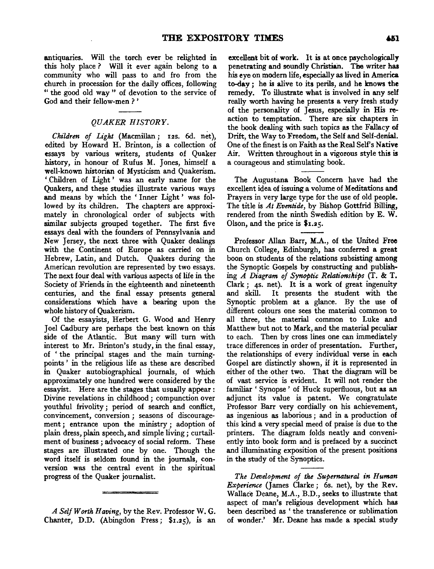antiquaries. Will the torch ever be relighted in this holy place ? Will it ever again belong to a community who will pass to and fro from the church in procession for the daily offices, following " the good old way " of devotion to the service of God and their fellow-men ? '

#### *QUAKER HISTORY.*

*Children of Light* (Macmillan ; 12s. 6d. net), edited by Howard H. Brinton, is a collection of essays by various writers, students of Quaker history, in honour of Rufus M. Jones, himself a well-known historian of Mysticism and Quakerism. ' Children of Light ' was an early name for the Quakers, and these studies illustrate various ways and means by which the ' Inner Light ' was fol· lowed by its children. The chapters are approxi· mately in chronological order of subjects with similar subjects grouped together. The first five essays deal with the founders of Pennsylvania and New Jersey, the next three with Quaker dealings with the Continent of Europe as carried on in Hebrew, Latin, and Dutch. Quakers during the American revolution are represented by two essays. The next four deal with various aspects of life in the Society of Friends in the eighteenth and nineteenth centuries, and the final essay presents general considerations which have a bearing upon the whole history of Quakerism.

Of the essayists, Herbert G. Wood and Henry Joel Cadbury are perhaps the best known on this side of the Atlantic. But many will turn with interest to Mr. Brinton's study, in the final essay, of ' the principal stages and the main turningpoints ' in the religious life as these are described in Quaker autobiographical journals, of which approximately one hundred were considered by the essayist. Here are the stages that usually appear : Divine revelations in childhood *;* compunction over youthful frivolity ; period of search and conflict, convincement, conversion; seasons of discouragement *;* entrance upon the ministry ; adoption of plain dress, plain speech, and simple living; curtailment of business *;* advocacy of social reform. These stages are illustrated one by one. Though the word itself is seldom found in the journals, con· version was the central event in the spiritual progress of the Quaker journalist.

*A Self Worth Having,* by the Rev. Professor W. G. Chanter, D.D. (Abingdon Press; \$1.25), is an

excellent bit of work. It is at once psychologically penetrating and soundly Christian. The writer has his eye on modern life, especially as lived in America to-day ; he is alive to its perils, and he knows the remedy. To illustrate what is involved in any self really worth having he presents a very fresh study of the personality of Jesus, especially in His reaction to temptation. There are six chapters in the book dealing with such topics as the Fallacy of Drift, the Way to Freedom, the Self and Self-denial. One of the finest is on Faith as the Real Self's Native Air. Written throughout in a vigorous style this is a courageous and stimulating book.

The Augustana Book Concern have had the excellent idea of issuing a volume of Meditations and Prayers in very large type for the use of old people. The title is *At Eventide,* by Bishop Gottfrid Billing, rendered from the ninth Swedish edition by E. W. Olson, and the price is \$1.25.

Professor Allan Barr, M.A., of the United Free Church College, Edinburgh, has conferred a great boon on students of the relations subsisting among the Synoptic Gospels by constructing and publish~ ing *A Diagram of Synoptic Relationships* (T. & T. Clark *;* 4s. net). It is a work of great ingenuity and skill. It presents the student with the Synoptic problem at a glance. By the use of different colours one sees the material common to all three, the material common to Luke and Matthew but not to Mark, and the material peculiar to each. Then by cross lines one can immediately trace differences in order of presentation. Further, the relationships of every individual verse in each Gospel are distinctly shown, if it is represented in either of the other two. That the diagram will be of vast service is evident. It will not render the familiar ' Synopse ' of Huck superfluous, but as an adjunct its value is patent. We congratulate Professor Barr very cordially on his achievement, as ingenious as laborious ; and in a production of this kind a very special meed of praise is due to the printers. The diagram folds neatly and conveni· ently into book form and is prefaced by a succinct and illuminating exposition of the present positions in the study of the Synoptics.

*The Development of* the *Supernatural in Human Experience* (James Clarke; 6s. net), by the Rev. Wallace Deane, M.A., B.D., seeks to illustrate that aspect of man's religious development which has been described as 'the transference or sublimation of wonder.' Mr. Deane has made a special study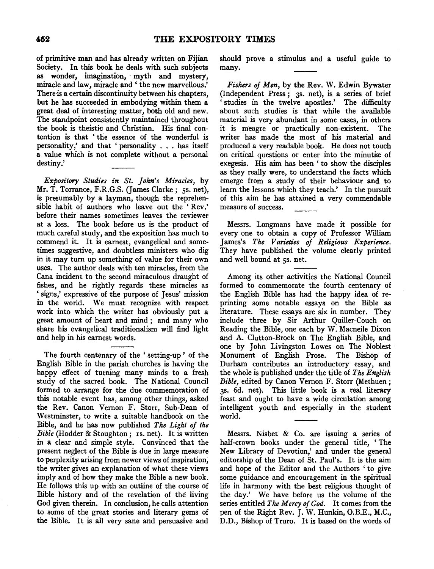of primitive man and has already written on Fijian Society. In this book he deals with such subjects as wonder, imagination, myth and mystery, miracle and law, miracle and' the new marvellous.' There is a certain discontinuity between his chapters, but he has succeeded in embodying within them a great deal of interesting matter, both old and new. The standpoint consistently maintained throughout the book is theistic and Christian. His final contention is that ' the essence of the wonderful is personality,' and that ' personality . . . has itself a value which is not complete without a personal destiny.'

*Expository Studies in St. John's Miracles,* by Mr. T. Torrance, F.R.G.S. (James Clarke; 5s. net), is presumably by a layman, though the reprehensible habit of authors who leave out the 'Rev.' before their names sometimes leaves the reviewer at a loss. The book before us is the product of much careful study, and the exposition has much to commend it. It is earnest, evangelical and sometimes suggestive, and doubtless ministers who dig in it may turn up something of value for their own uses. The author deals with ten miracles, from the Cana incident to the second miraculous draught of fishes, and he rightly regards these miracles as ' signs,' expressive of the purpose of Jesus' mission in the world. We must recognize with respect work into which the writer has obviously put a great amount of heart and mind ; and many who share his evangelical traditionalism will find light and help in his earnest words.

The fourth centenary of the ' setting-up ' of the English Bible in the parish churches is having the happy effect of turning many minds to a fresh study of the sacred book. The National Council formed to arrange for the due commemoration of this notable event has, among other things, asked the Rev. Canon Vernon F. Storr, Sub-Dean of Westminster, to write a suitable handbook on the Bible, and he has now published *The Light of the Bible* (Hodder & Stoughton; Is. net). It is written in a clear and simple style. Convinced that the present neglect of the Bible is due in large measure to perplexity arising from newer views of inspiration, the writer gives an explanation of what these views imply and of how they make the Bible a new book. He follows this up with an outline of the course of Bible history and of the revelation of the living God given therein. In conclusion, he calls attention to some of the great stories and literary gems of the Bible. It is all very sane and persuasive and

should prove a stimulus and a useful guide to many.

*Fishers of Men,* by the Rev. W. Edwin Bywater (Independent Press; 3s. net), is a series of brief ' studies in the twelve apostles.' The difficulty about such studies is that while the available material is very abundant in some cases, in others it is meagre or practically non-existent. The writer has made the most of his material and produced a very readable book. He does not touch on critical questions or enter into the minutiæ of exegesis. His aim has been ' to show the disciples as they really were, to understand the facts which emerge from a study of their behaviour and to learn the lessons which they teach.' In the pursuit of this aim he has attained a very commendable measure of success.

Messrs. Longmans have made it possible for every one to obtain a copy of Professor William James's *The Varieties of Religious Experience*. They have published the volume clearly printed and well bound at 5s. net.

Among its other activities the National Council formed to commemorate the fourth centenary of the English Bible has had the happy idea of reprinting some notable essays on the Bible as literature. These essays are six in number. They include three by Sir Arthur Quiller-Couch on Reading the Bible, one each by W. Macneile Dixon and A. Clutton-Brock on The English Bible, and one by John Livingston Lowes on The Noblest Monument of English Prose. The Bishop of Durham contributes an introductory essay, and the whole is published under the title of *The English Bible,* edited by Canon Vernon F. Storr (Methuen; JS. 6d. net). This little book is a real literary feast and ought to have a wide circulation among intelligent youth and especially in the student world.

Messrs. Nisbet & Co. are issuing a senes of half-crown books under the general title, ' The New Library of Devotion,' and under the general editorship of the Dean of St. Paul's. It is the aim and hope of the Editor and the Authors ' to give some guidance and encouragement in the spiritual life in harmony with the best religious thought of the day.' We have before us the volume of the series entitled *The Mercy of God.* It comes from the pen of the Right Rev. J. W. Hunkin, O.B.E., M.C., D.D., Bishop of Truro. It is based on the words of